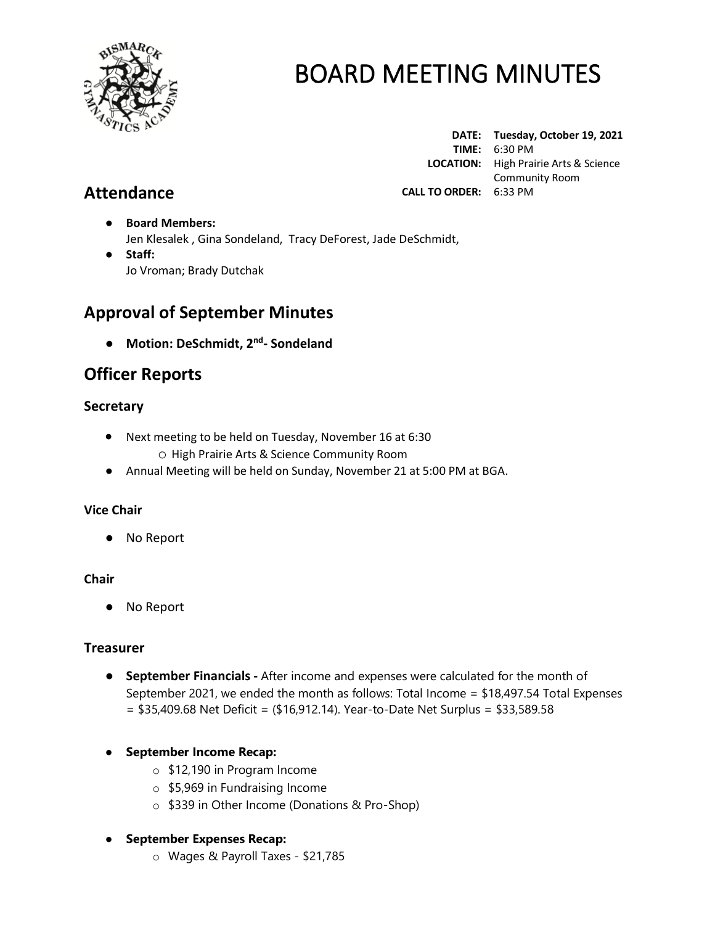

**DATE: Tuesday, October 19, 2021 TIME:** 6:30 PM  **LOCATION:** High Prairie Arts & Science Community Room **CALL TO ORDER:** 6:33 PM

# **Attendance**

- **Board Members:** Jen Klesalek , Gina Sondeland, Tracy DeForest, Jade DeSchmidt,
- **Staff:**  Jo Vroman; Brady Dutchak

# **Approval of September Minutes**

● **Motion: DeSchmidt, 2 nd - Sondeland**

# **Officer Reports**

# **Secretary**

- Next meeting to be held on Tuesday, November 16 at 6:30 o High Prairie Arts & Science Community Room
- Annual Meeting will be held on Sunday, November 21 at 5:00 PM at BGA.

# **Vice Chair**

● No Report

## **Chair**

● No Report

## **Treasurer**

- **September Financials -** After income and expenses were calculated for the month of September 2021, we ended the month as follows: Total Income = \$18,497.54 Total Expenses  $= $35,409.68$  Net Deficit = (\$16,912.14). Year-to-Date Net Surplus = \$33,589.58
- **September Income Recap:**
	- o \$12,190 in Program Income
	- o \$5,969 in Fundraising Income
	- o \$339 in Other Income (Donations & Pro-Shop)

## ● **September Expenses Recap:**

o Wages & Payroll Taxes - \$21,785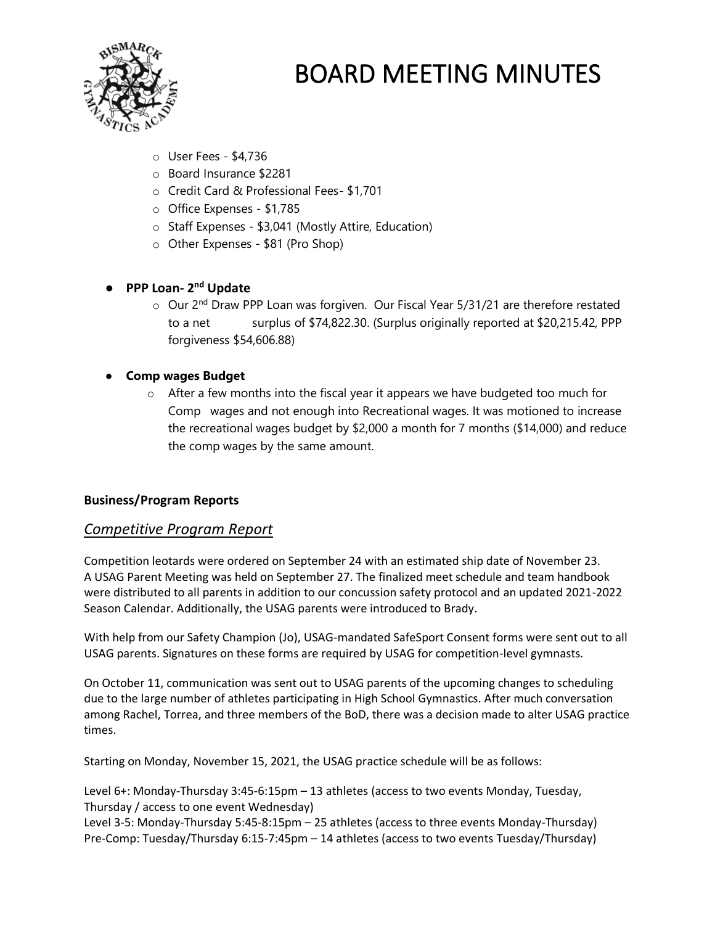

- o User Fees \$4,736
- o Board Insurance \$2281
- o Credit Card & Professional Fees- \$1,701
- o Office Expenses \$1,785
- o Staff Expenses \$3,041 (Mostly Attire, Education)
- o Other Expenses \$81 (Pro Shop)

# ● **PPP Loan- 2 nd Update**

 $\circ$  Our 2<sup>nd</sup> Draw PPP Loan was forgiven. Our Fiscal Year 5/31/21 are therefore restated to a net surplus of \$74,822.30. (Surplus originally reported at \$20,215.42, PPP forgiveness \$54,606.88)

## ● **Comp wages Budget**

 $\circ$  After a few months into the fiscal year it appears we have budgeted too much for Comp wages and not enough into Recreational wages. It was motioned to increase the recreational wages budget by \$2,000 a month for 7 months (\$14,000) and reduce the comp wages by the same amount.

## **Business/Program Reports**

## *Competitive Program Report*

Competition leotards were ordered on September 24 with an estimated ship date of November 23. A USAG Parent Meeting was held on September 27. The finalized meet schedule and team handbook were distributed to all parents in addition to our concussion safety protocol and an updated 2021-2022 Season Calendar. Additionally, the USAG parents were introduced to Brady.

With help from our Safety Champion (Jo), USAG-mandated SafeSport Consent forms were sent out to all USAG parents. Signatures on these forms are required by USAG for competition-level gymnasts.

On October 11, communication was sent out to USAG parents of the upcoming changes to scheduling due to the large number of athletes participating in High School Gymnastics. After much conversation among Rachel, Torrea, and three members of the BoD, there was a decision made to alter USAG practice times.

Starting on Monday, November 15, 2021, the USAG practice schedule will be as follows:

Level 6+: Monday-Thursday 3:45-6:15pm – 13 athletes (access to two events Monday, Tuesday, Thursday / access to one event Wednesday)

Level 3-5: Monday-Thursday 5:45-8:15pm – 25 athletes (access to three events Monday-Thursday) Pre-Comp: Tuesday/Thursday 6:15-7:45pm – 14 athletes (access to two events Tuesday/Thursday)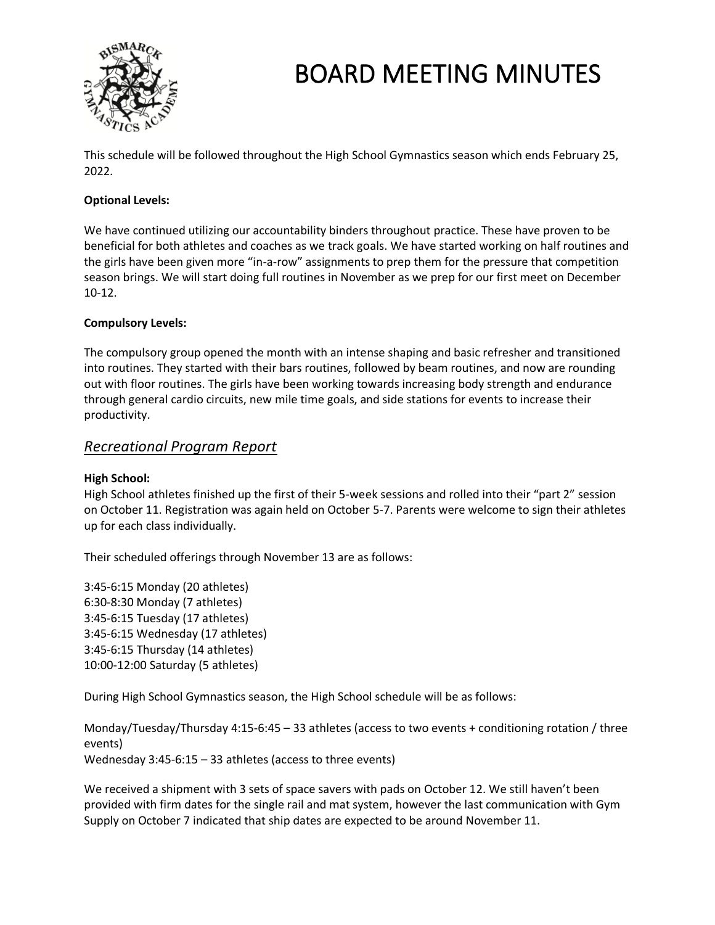

This schedule will be followed throughout the High School Gymnastics season which ends February 25, 2022.

#### **Optional Levels:**

We have continued utilizing our accountability binders throughout practice. These have proven to be beneficial for both athletes and coaches as we track goals. We have started working on half routines and the girls have been given more "in-a-row" assignments to prep them for the pressure that competition season brings. We will start doing full routines in November as we prep for our first meet on December 10-12.

#### **Compulsory Levels:**

The compulsory group opened the month with an intense shaping and basic refresher and transitioned into routines. They started with their bars routines, followed by beam routines, and now are rounding out with floor routines. The girls have been working towards increasing body strength and endurance through general cardio circuits, new mile time goals, and side stations for events to increase their productivity.

## *Recreational Program Report*

#### **High School:**

High School athletes finished up the first of their 5-week sessions and rolled into their "part 2" session on October 11. Registration was again held on October 5-7. Parents were welcome to sign their athletes up for each class individually.

Their scheduled offerings through November 13 are as follows:

3:45-6:15 Monday (20 athletes) 6:30-8:30 Monday (7 athletes) 3:45-6:15 Tuesday (17 athletes) 3:45-6:15 Wednesday (17 athletes) 3:45-6:15 Thursday (14 athletes) 10:00-12:00 Saturday (5 athletes)

During High School Gymnastics season, the High School schedule will be as follows:

Monday/Tuesday/Thursday 4:15-6:45 – 33 athletes (access to two events + conditioning rotation / three events) Wednesday 3:45-6:15 – 33 athletes (access to three events)

We received a shipment with 3 sets of space savers with pads on October 12. We still haven't been provided with firm dates for the single rail and mat system, however the last communication with Gym Supply on October 7 indicated that ship dates are expected to be around November 11.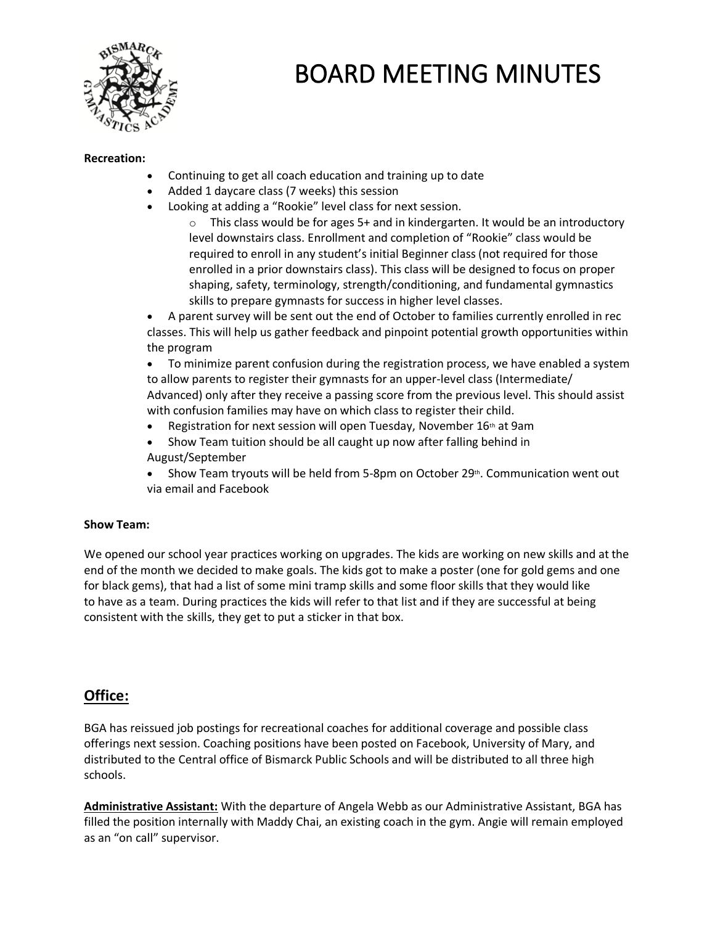

#### **Recreation:**

- Continuing to get all coach education and training up to date
- Added 1 daycare class (7 weeks) this session
- Looking at adding a "Rookie" level class for next session.
	- o This class would be for ages 5+ and in kindergarten. It would be an introductory level downstairs class. Enrollment and completion of "Rookie" class would be required to enroll in any student's initial Beginner class (not required for those enrolled in a prior downstairs class). This class will be designed to focus on proper shaping, safety, terminology, strength/conditioning, and fundamental gymnastics skills to prepare gymnasts for success in higher level classes.

• A parent survey will be sent out the end of October to families currently enrolled in rec classes. This will help us gather feedback and pinpoint potential growth opportunities within the program

• To minimize parent confusion during the registration process, we have enabled a system to allow parents to register their gymnasts for an upper-level class (Intermediate/ Advanced) only after they receive a passing score from the previous level. This should assist with confusion families may have on which class to register their child.

- Registration for next session will open Tuesday, November  $16<sup>th</sup>$  at 9am
- Show Team tuition should be all caught up now after falling behind in August/September
- Show Team tryouts will be held from 5-8pm on October  $29<sup>th</sup>$ . Communication went out via email and Facebook

#### **Show Team:**

We opened our school year practices working on upgrades. The kids are working on new skills and at the end of the month we decided to make goals. The kids got to make a poster (one for gold gems and one for black gems), that had a list of some mini tramp skills and some floor skills that they would like to have as a team. During practices the kids will refer to that list and if they are successful at being consistent with the skills, they get to put a sticker in that box.

## **Office:**

BGA has reissued job postings for recreational coaches for additional coverage and possible class offerings next session. Coaching positions have been posted on Facebook, University of Mary, and distributed to the Central office of Bismarck Public Schools and will be distributed to all three high schools.

**Administrative Assistant:** With the departure of Angela Webb as our Administrative Assistant, BGA has filled the position internally with Maddy Chai, an existing coach in the gym. Angie will remain employed as an "on call" supervisor.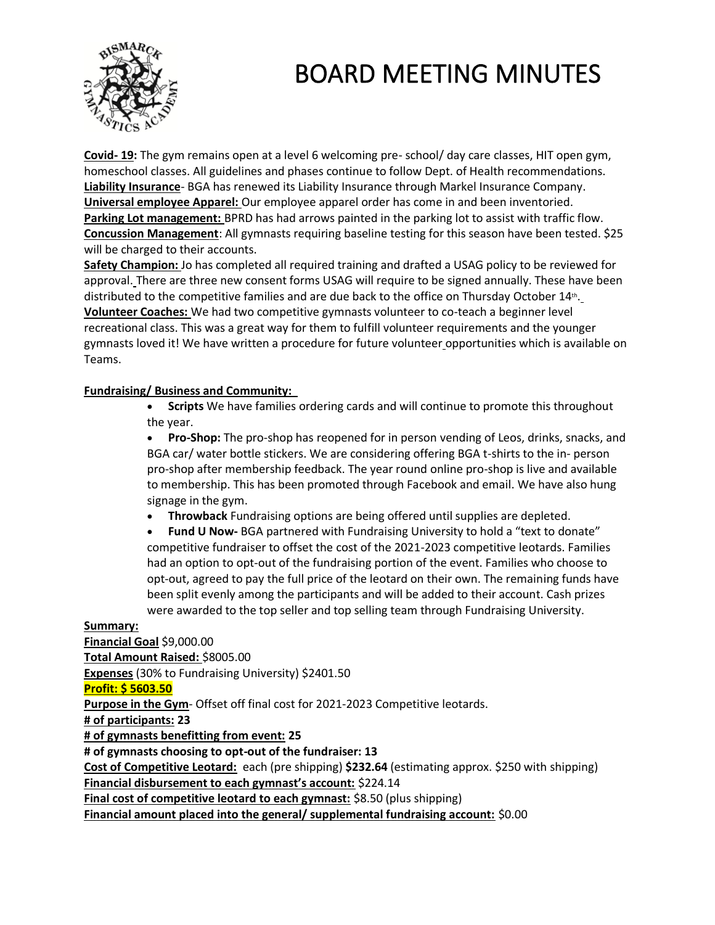

**Covid- 19:** The gym remains open at a level 6 welcoming pre- school/ day care classes, HIT open gym, homeschool classes. All guidelines and phases continue to follow Dept. of Health recommendations. **Liability Insurance**- BGA has renewed its Liability Insurance through Markel Insurance Company. **Universal employee Apparel:** Our employee apparel order has come in and been inventoried. **Parking Lot management:** BPRD has had arrows painted in the parking lot to assist with traffic flow. **Concussion Management**: All gymnasts requiring baseline testing for this season have been tested. \$25 will be charged to their accounts.

**Safety Champion:** Jo has completed all required training and drafted a USAG policy to be reviewed for approval. There are three new consent forms USAG will require to be signed annually. These have been distributed to the competitive families and are due back to the office on Thursday October 14<sup>th</sup>. **Volunteer Coaches:** We had two competitive gymnasts volunteer to co-teach a beginner level recreational class. This was a great way for them to fulfill volunteer requirements and the younger gymnasts loved it! We have written a procedure for future volunteer opportunities which is available on Teams.

#### **Fundraising/ Business and Community:**

• **Scripts** We have families ordering cards and will continue to promote this throughout the year.

• **Pro-Shop:** The pro-shop has reopened for in person vending of Leos, drinks, snacks, and BGA car/ water bottle stickers. We are considering offering BGA t-shirts to the in- person pro-shop after membership feedback. The year round online pro-shop is live and available to membership. This has been promoted through Facebook and email. We have also hung signage in the gym.

• **Throwback** Fundraising options are being offered until supplies are depleted.

• **Fund U Now-** BGA partnered with Fundraising University to hold a "text to donate" competitive fundraiser to offset the cost of the 2021-2023 competitive leotards. Families had an option to opt-out of the fundraising portion of the event. Families who choose to opt-out, agreed to pay the full price of the leotard on their own. The remaining funds have been split evenly among the participants and will be added to their account. Cash prizes were awarded to the top seller and top selling team through Fundraising University.

#### **Summary:**

**Financial Goal** \$9,000.00 **Total Amount Raised:** \$8005.00 **Expenses** (30% to Fundraising University) \$2401.50 **Profit: \$ 5603.50 Purpose in the Gym**- Offset off final cost for 2021-2023 Competitive leotards. **# of participants: 23 # of gymnasts benefitting from event: 25 # of gymnasts choosing to opt-out of the fundraiser: 13 Cost of Competitive Leotard:** each (pre shipping) **\$232.64** (estimating approx. \$250 with shipping) **Financial disbursement to each gymnast's account:** \$224.14 **Final cost of competitive leotard to each gymnast:** \$8.50 (plus shipping)

**Financial amount placed into the general/ supplemental fundraising account:** \$0.00